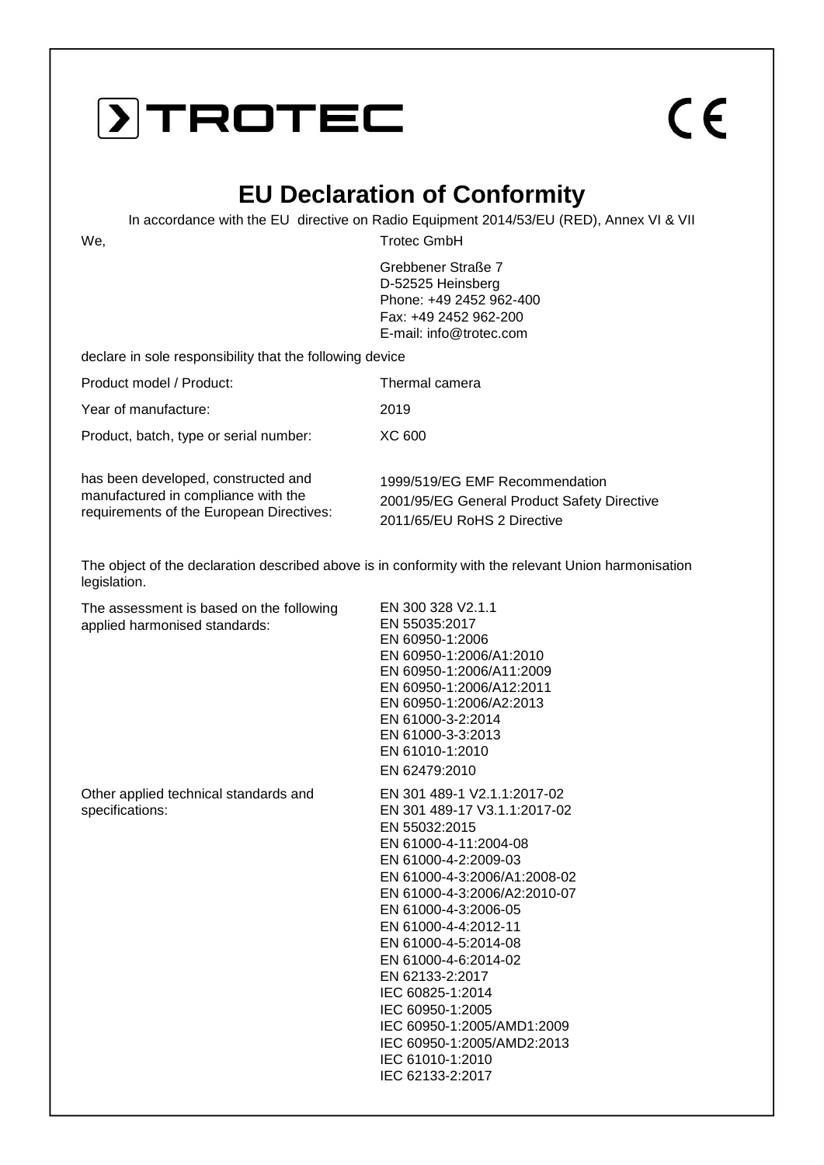### **DITROTEC**

# $\epsilon$

#### **EU Declaration of Conformity**

In accordance with the EU directive on Radio Equipment 2014/53/EU (RED), Annex VI & VII

We, Trotec GmbH

Grebbener Straße 7 D-52525 Heinsberg Phone: +49 2452 962-400 Fax: +49 2452 962-200 E-mail: info@trotec.com

declare in sole responsibility that the following device

| Product model / Product:               | Thermal camera |
|----------------------------------------|----------------|
| Year of manufacture:                   | 2019           |
| Product, batch, type or serial number: | XC 600         |

has been developed, constructed and manufactured in compliance with the requirements of the European Directives: 1999/519/EG EMF Recommendation 2001/95/EG General Product Safety Directive 2011/65/EU RoHS 2 Directive

The object of the declaration described above is in conformity with the relevant Union harmonisation legislation.

The assessment is based on the following applied harmonised standards:

Other applied technical standards and specifications:

EN 300 328 V2.1.1 EN 55035:2017 EN 60950-1:2006 EN 60950-1:2006/A1:2010 EN 60950-1:2006/A11:2009 EN 60950-1:2006/A12:2011 EN 60950-1:2006/A2:2013 EN 61000-3-2:2014 EN 61000-3-3:2013 EN 61010-1:2010 EN 62479:2010

EN 301 489-1 V2.1.1:2017-02 EN 301 489-17 V3.1.1:2017-02 EN 55032:2015 EN 61000-4-11:2004-08 EN 61000-4-2:2009-03 EN 61000-4-3:2006/A1:2008-02 EN 61000-4-3:2006/A2:2010-07 EN 61000-4-3:2006-05 EN 61000-4-4:2012-11 EN 61000-4-5:2014-08 EN 61000-4-6:2014-02 EN 62133-2:2017 IEC 60825-1:2014 IEC 60950-1:2005 IEC 60950-1:2005/AMD1:2009 IEC 60950-1:2005/AMD2:2013 IEC 61010-1:2010 IEC 62133-2:2017